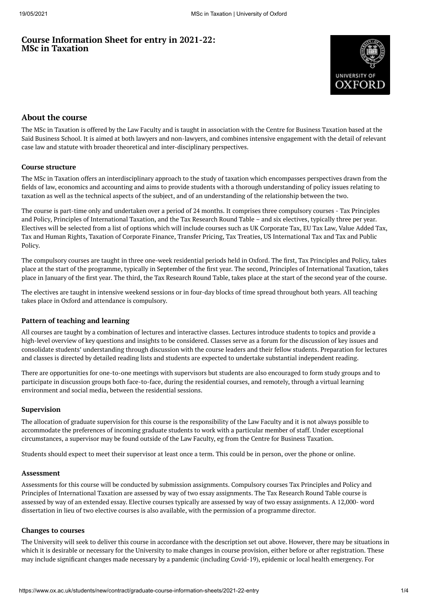# **Course Information Sheet for entry in 2021-22: MSc in Taxation**



# **About the course**

The MSc in Taxation is offered by the Law Faculty and is taught in association with the Centre for Business Taxation based at the Saïd Business School. It is aimed at both lawyers and non-lawyers, and combines intensive engagement with the detail of relevant case law and statute with broader theoretical and inter-disciplinary perspectives.

#### **Course structure**

The MSc in Taxation offers an interdisciplinary approach to the study of taxation which encompasses perspectives drawn from the fields of law, economics and accounting and aims to provide students with a thorough understanding of policy issues relating to taxation as well as the technical aspects of the subject, and of an understanding of the relationship between the two.

The course is part-time only and undertaken over a period of 24 months. It comprises three compulsory courses - Tax Principles and Policy, Principles of International Taxation, and the Tax Research Round Table – and six electives, typically three per year. Electives will be selected from a list of options which will include courses such as UK Corporate Tax, EU Tax Law, Value Added Tax, Tax and Human Rights, Taxation of Corporate Finance, Transfer Pricing, Tax Treaties, US International Tax and Tax and Public Policy.

The compulsory courses are taught in three one-week residential periods held in Oxford. The first, Tax Principles and Policy, takes place at the start of the programme, typically in September of the first year. The second, Principles of International Taxation, takes place in January of the first year. The third, the Tax Research Round Table, takes place at the start of the second year of the course.

The electives are taught in intensive weekend sessions or in four-day blocks of time spread throughout both years. All teaching takes place in Oxford and attendance is compulsory.

## **Pattern of teaching and learning**

All courses are taught by a combination of lectures and interactive classes. Lectures introduce students to topics and provide a high-level overview of key questions and insights to be considered. Classes serve as a forum for the discussion of key issues and consolidate students' understanding through discussion with the course leaders and their fellow students. Preparation for lectures and classes is directed by detailed reading lists and students are expected to undertake substantial independent reading.

There are opportunities for one-to-one meetings with supervisors but students are also encouraged to form study groups and to participate in discussion groups both face-to-face, during the residential courses, and remotely, through a virtual learning environment and social media, between the residential sessions.

## **Supervision**

The allocation of graduate supervision for this course is the responsibility of the Law Faculty and it is not always possible to accommodate the preferences of incoming graduate students to work with a particular member of staff. Under exceptional circumstances, a supervisor may be found outside of the Law Faculty, eg from the Centre for Business Taxation.

Students should expect to meet their supervisor at least once a term. This could be in person, over the phone or online.

#### **Assessment**

Assessments for this course will be conducted by submission assignments. Compulsory courses Tax Principles and Policy and Principles of International Taxation are assessed by way of two essay assignments. The Tax Research Round Table course is assessed by way of an extended essay. Elective courses typically are assessed by way of two essay assignments. A 12,000- word dissertation in lieu of two elective courses is also available, with the permission of a programme director.

#### **Changes to courses**

The University will seek to deliver this course in accordance with the description set out above. However, there may be situations in which it is desirable or necessary for the University to make changes in course provision, either before or after registration. These may include significant changes made necessary by a pandemic (including Covid-19), epidemic or local health emergency. For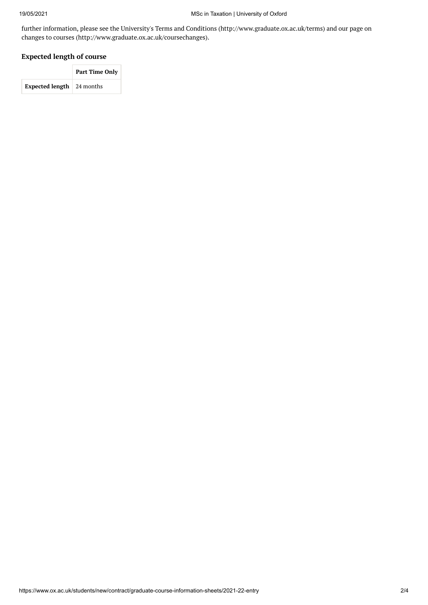further information, please see the University's Terms and Conditions (http://www.graduate.ox.ac.uk/terms) and our page on changes to courses (http://www.graduate.ox.ac.uk/coursechanges).

### **Expected length of course**

|                                  | <b>Part Time Only</b> |  |
|----------------------------------|-----------------------|--|
| <b>Expected length</b> 24 months |                       |  |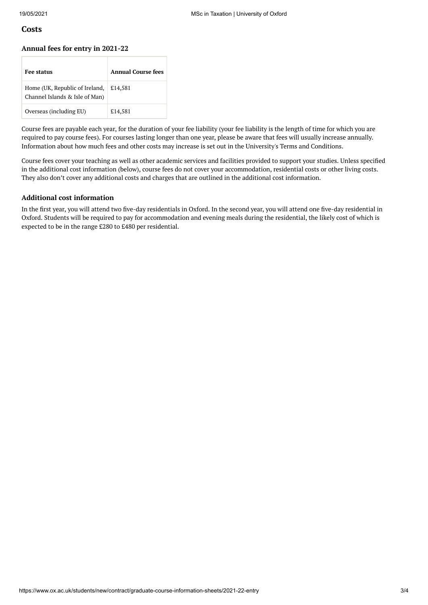## **Costs**

#### **Annual fees for entry in 2021-22**

| <b>Fee status</b>                                                | Annual Course fees |
|------------------------------------------------------------------|--------------------|
| Home (UK, Republic of Ireland,<br>Channel Islands & Isle of Man) | £14.581            |
| Overseas (including EU)                                          | £14,581            |

Course fees are payable each year, for the duration of your fee liability (your fee liability is the length of time for which you are required to pay course fees). For courses lasting longer than one year, please be aware that fees will usually increase annually. Information about how much fees and other costs may increase is set out in the University's Terms and Conditions.

Course fees cover your teaching as well as other academic services and facilities provided to support your studies. Unless specified in the additional cost information (below), course fees do not cover your accommodation, residential costs or other living costs. They also don't cover any additional costs and charges that are outlined in the additional cost information.

#### **Additional cost information**

In the first year, you will attend two five-day residentials in Oxford. In the second year, you will attend one five-day residential in Oxford. Students will be required to pay for accommodation and evening meals during the residential, the likely cost of which is expected to be in the range £280 to £480 per residential.